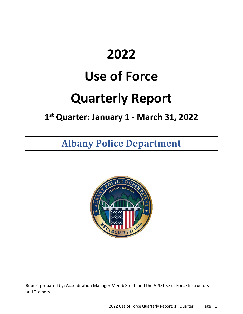# **2022**

# **Use of Force**

# **Quarterly Report**

# **1 st Quarter: January 1 - March 31, 2022**

# **Albany Police Department**



Report prepared by: Accreditation Manager Merab Smith and the APD Use of Force Instructors and Trainers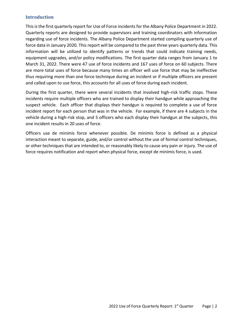#### **Introduction**

This is the first quarterly report for Use of Force incidents for the Albany Police Department in 2022. Quarterly reports are designed to provide supervisors and training coordinators with information regarding use of force incidents. The Albany Police Department started compiling quarterly use of force data in January 2020. This report will be compared to the past three years quarterly data. This information will be utilized to identify patterns or trends that could indicate training needs, equipment upgrades, and/or policy modifications. The first quarter data ranges from January 1 to March 31, 2022. There were 47 use of force incidents and 167 uses of force on 60 subjects. There are more total uses of force because many times an officer will use force that may be ineffective thus requiring more than one force technique during an incident or if multiple officers are present and called upon to use force, this accounts for all uses of force during each incident.

During the first quarter, there were several incidents that involved high-risk traffic stops. These incidents require multiple officers who are trained to display their handgun while approaching the suspect vehicle. Each officer that displays their handgun is required to complete a use of force incident report for each person that was in the vehicle. For example, if there are 4 subjects in the vehicle during a high-risk stop, and 5 officers who each display their handgun at the subjects, this one incident results in 20 uses of force.

Officers use de minimis force whenever possible. De minimis force is defined as a physical interaction meant to separate, guide, and/or control without the use of formal control techniques, or other techniques that are intended to, or reasonably likely to cause any pain or injury. The use of force requires notification and report when physical force, except de minimis force, is used.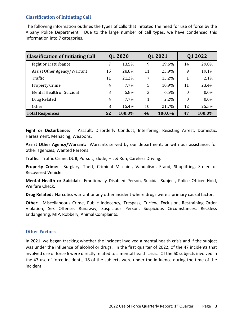#### **Classification of Initiating Call**

The following information outlines the types of calls that initiated the need for use of force by the Albany Police Department. Due to the large number of call types, we have condensed this information into 7 categories.

| <b>Classification of Initiating Call</b> | 01 20 20 |         | 01 2021 |        | 01 2022  |         |
|------------------------------------------|----------|---------|---------|--------|----------|---------|
| <b>Fight or Disturbance</b>              |          | 13.5%   | 9       | 19.6%  | 14       | 29.8%   |
| Assist Other Agency/Warrant              | 15       | 28.8%   | 11      | 23.9%  | 9        | 19.1%   |
| Traffic                                  | 11       | 21.2%   | 7       | 15.2%  | 1        | 2.1%    |
| <b>Property Crime</b>                    | 4        | $7.7\%$ | 5       | 10.9%  | 11       | 23.4%   |
| Mental Health or Suicidal                | 3        | 5.8%    | 3       | 6.5%   | $\Omega$ | $0.0\%$ |
| Drug Related                             | 4        | $7.7\%$ | 1       | 2.2%   | $\theta$ | $0.0\%$ |
| <b>Other</b>                             | 8        | 15.4%   | 10      | 21.7%  | 12       | 25.5%   |
| <b>Total Responses</b>                   | 52       | 100.0%  | 46      | 100.0% | 47       | 100.0%  |

Fight or Disturbance: Assault, Disorderly Conduct, Interfering, Resisting Arrest, Domestic, Harassment, Menacing, Weapons.

**Assist Other Agency/Warrant:** Warrants served by our department, or with our assistance, for other agencies, Wanted Persons.

**Traffic:** Traffic Crime, DUII, Pursuit, Elude, Hit & Run, Careless Driving.

**Property Crime:** Burglary, Theft, Criminal Mischief, Vandalism, Fraud, Shoplifting, Stolen or Recovered Vehicle.

**Mental Health or Suicidal:** Emotionally Disabled Person, Suicidal Subject, Police Officer Hold, Welfare Check.

**Drug Related:** Narcotics warrant or any other incident where drugs were a primary causal factor.

**Other:** Miscellaneous Crime, Public Indecency, Trespass, Curfew, Exclusion, Restraining Order Violation, Sex Offense, Runaway, Suspicious Person, Suspicious Circumstances, Reckless Endangering, MIP, Robbery, Animal Complaints.

#### **Other Factors**

In 2021, we began tracking whether the incident involved a mental health crisis and if the subject was under the influence of alcohol or drugs. In the first quarter of 2022, of the 47 incidents that involved use of force 6 were directly related to a mental health crisis. Of the 60 subjects involved in the 47 use of force incidents, 18 of the subjects were under the influence during the time of the incident.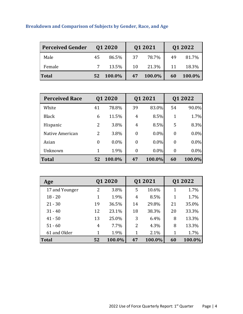# **Breakdown and Comparison of Subjects by Gender, Race, and Age**

| <b>Perceived Gender</b> |    | 01 2020 |    | Q1 2021   |    | Q1 2022 |
|-------------------------|----|---------|----|-----------|----|---------|
| Male                    | 45 | 86.5%   | 37 | 78.7%     | 49 | 81.7%   |
| Female                  |    | 7 13.5% | 10 | 21.3%     | 11 | 18.3%   |
| <b>Total</b>            | 52 | 100.0%  | 47 | $100.0\%$ | 60 | 100.0%  |

| <b>Perceived Race</b> |          | 01 2020 | Q1 2021          |         |                  | Q1 2022 |
|-----------------------|----------|---------|------------------|---------|------------------|---------|
| White                 | 41       | 78.8%   | 39               | 83.0%   | 54               | 90.0%   |
| <b>Black</b>          | 6        | 11.5%   | 4                | 8.5%    | 1                | 1.7%    |
| Hispanic              | 2        | 3.8%    | 4                | 8.5%    | 5                | 8.3%    |
| Native American       | 2        | 3.8%    | $\boldsymbol{0}$ | $0.0\%$ | $\boldsymbol{0}$ | $0.0\%$ |
| Asian                 | $\theta$ | $0.0\%$ | $\overline{0}$   | $0.0\%$ | $\overline{0}$   | $0.0\%$ |
| Unknown               | 1        | 1.9%    | $\boldsymbol{0}$ | $0.0\%$ | $\boldsymbol{0}$ | $0.0\%$ |
| Total                 | 52       | 100.0%  | 47               | 100.0%  | 60               | 100.0%  |

| Age            |    | Q1 2020 |                | Q1 2021 |    | Q1 2022 |
|----------------|----|---------|----------------|---------|----|---------|
| 17 and Younger | 2  | 3.8%    | 5              | 10.6%   | 1  | 1.7%    |
| $18 - 20$      | 1  | 1.9%    | $\overline{4}$ | 8.5%    | 1  | 1.7%    |
| $21 - 30$      | 19 | 36.5%   | 14             | 29.8%   | 21 | 35.0%   |
| $31 - 40$      | 12 | 23.1%   | 18             | 38.3%   | 20 | 33.3%   |
| $41 - 50$      | 13 | 25.0%   | 3              | 6.4%    | 8  | 13.3%   |
| $51 - 60$      | 4  | 7.7%    | 2              | 4.3%    | 8  | 13.3%   |
| 61 and Older   | 1  | 1.9%    | 1              | 2.1%    | 1  | 1.7%    |
| Total          | 52 | 100.0%  | 47             | 100.0%  | 60 | 100.0%  |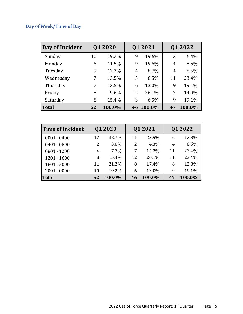# **Day of Week/Time of Day**

| Day of Incident |    | Q1 2020 |    | Q1 2021   |    | Q1 2022 |
|-----------------|----|---------|----|-----------|----|---------|
| Sunday          | 10 | 19.2%   | 9  | 19.6%     | 3  | 6.4%    |
| Monday          | 6  | 11.5%   | 9  | 19.6%     | 4  | 8.5%    |
| Tuesday         | 9  | 17.3%   | 4  | 8.7%      | 4  | 8.5%    |
| Wednesday       | 7  | 13.5%   | 3  | 6.5%      | 11 | 23.4%   |
| Thursday        | 7  | 13.5%   | 6  | 13.0%     | 9  | 19.1%   |
| Friday          | 5  | 9.6%    | 12 | 26.1%     | 7  | 14.9%   |
| Saturday        | 8  | 15.4%   | 3  | 6.5%      | 9  | 19.1%   |
| <b>Total</b>    | 52 | 100.0%  |    | 46 100.0% | 47 | 100.0%  |

| <b>Time of Incident</b> |    | 01 2020 |    | Q1 2021 |    | Q1 2022 |  |
|-------------------------|----|---------|----|---------|----|---------|--|
| $0001 - 0400$           | 17 | 32.7%   | 11 | 23.9%   | 6  | 12.8%   |  |
| $0401 - 0800$           | 2  | 3.8%    | 2  | 4.3%    | 4  | 8.5%    |  |
| $0801 - 1200$           | 4  | 7.7%    | 7  | 15.2%   | 11 | 23.4%   |  |
| $1201 - 1600$           | 8  | 15.4%   | 12 | 26.1%   | 11 | 23.4%   |  |
| $1601 - 2000$           | 11 | 21.2%   | 8  | 17.4%   | 6  | 12.8%   |  |
| $2001 - 0000$           | 10 | 19.2%   | 6  | 13.0%   | 9  | 19.1%   |  |
| <b>Total</b>            | 52 | 100.0%  | 46 | 100.0%  | 47 | 100.0%  |  |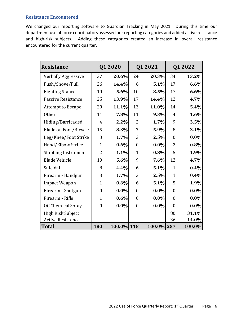#### **Resistance Encountered**

We changed our reporting software to Guardian Tracking in May 2021. During this time our department use of force coordinators assessed our reporting categories and added active resistance and high-risk subjects. Adding these categories created an increase in overall resistance encountered for the current quarter.

| <b>Resistance</b>          |                  | Q1 2020    | Q1 2021          |            |                  | Q1 2022 |
|----------------------------|------------------|------------|------------------|------------|------------------|---------|
| Verbally Aggressive        | 37               | 20.6%      | 24               | 20.3%      | 34               | 13.2%   |
| Push/Shove/Pull            | 26               | 14.4%      | 6                | 5.1%       | 17               | 6.6%    |
| <b>Fighting Stance</b>     | 10               | 5.6%       | 10               | 8.5%       | 17               | 6.6%    |
| Passive Resistance         | 25               | 13.9%      | 17               | 14.4%      | 12               | 4.7%    |
| Attempt to Escape          | 20               | 11.1%      | 13               | 11.0%      | 14               | 5.4%    |
| Other                      | 14               | 7.8%       | 11               | 9.3%       | $\overline{4}$   | 1.6%    |
| Hiding/Barricaded          | $\overline{4}$   | 2.2%       | $\overline{2}$   | 1.7%       | 9                | 3.5%    |
| Elude on Foot/Bicycle      | 15               | 8.3%       | 7                | 5.9%       | 8                | 3.1%    |
| Leg/Knee/Foot Strike       | 3                | 1.7%       | 3                | 2.5%       | $\boldsymbol{0}$ | $0.0\%$ |
| Hand/Elbow Strike          | $\mathbf{1}$     | $0.6\%$    | $\boldsymbol{0}$ | $0.0\%$    | 2                | 0.8%    |
| <b>Stabbing Instrument</b> | $\overline{2}$   | 1.1%       | $\mathbf{1}$     | 0.8%       | 5                | 1.9%    |
| Elude Vehicle              | 10               | 5.6%       | 9                | 7.6%       | 12               | 4.7%    |
| Suicidal                   | 8                | 4.4%       | 6                | 5.1%       | $\mathbf{1}$     | 0.4%    |
| Firearm - Handgun          | 3                | 1.7%       | 3                | 2.5%       | $\mathbf{1}$     | 0.4%    |
| <b>Impact Weapon</b>       | $\mathbf{1}$     | 0.6%       | 6                | 5.1%       | 5                | 1.9%    |
| Firearm - Shotgun          | $\boldsymbol{0}$ | $0.0\%$    | $\boldsymbol{0}$ | $0.0\%$    | $\boldsymbol{0}$ | $0.0\%$ |
| Firearm - Rifle            | $\mathbf{1}$     | $0.6\%$    | $\boldsymbol{0}$ | $0.0\%$    | $\boldsymbol{0}$ | $0.0\%$ |
| OC Chemical Spray          | $\boldsymbol{0}$ | $0.0\%$    | $\boldsymbol{0}$ | $0.0\%$    | $\boldsymbol{0}$ | $0.0\%$ |
| High Risk Subject          |                  |            |                  |            | 80               | 31.1%   |
| <b>Active Resistance</b>   |                  |            |                  |            | 36               | 14.0%   |
| Total                      | 180              | 100.0% 118 |                  | 100.0% 257 |                  | 100.0%  |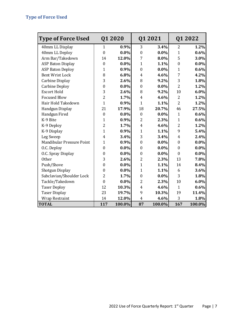| <b>Type of Force Used</b> |                  | Q1 2020 |                  | Q1 2021 |                  | Q1 2022 |
|---------------------------|------------------|---------|------------------|---------|------------------|---------|
| 40mm LL Display           | $\mathbf{1}$     | 0.9%    | 3                | 3.4%    | $\overline{2}$   | 1.2%    |
| 40mm LL Deploy            | $\mathbf{0}$     | $0.0\%$ | $\boldsymbol{0}$ | $0.0\%$ | $\mathbf{1}$     | 0.6%    |
| Arm Bar/Takedown          | 14               | 12.0%   | 7                | 8.0%    | 5                | 3.0%    |
| <b>ASP Baton Display</b>  | $\boldsymbol{0}$ | $0.0\%$ | $\mathbf{1}$     | 1.1%    | $\boldsymbol{0}$ | $0.0\%$ |
| <b>ASP Baton Deploy</b>   | $\mathbf{1}$     | 0.9%    | $\boldsymbol{0}$ | $0.0\%$ | $\mathbf{1}$     | 0.6%    |
| <b>Bent Wrist Lock</b>    | 8                | 6.8%    | 4                | 4.6%    | $\overline{7}$   | 4.2%    |
| Carbine Display           | 3                | 2.6%    | 8                | 9.2%    | 3                | 1.8%    |
| <b>Carbine Deploy</b>     | $\mathbf{0}$     | $0.0\%$ | $\boldsymbol{0}$ | $0.0\%$ | $\overline{2}$   | 1.2%    |
| <b>Escort Hold</b>        | 3                | 2.6%    | 8                | 9.2%    | 10               | 6.0%    |
| <b>Focused Blow</b>       | $\overline{2}$   | 1.7%    | $\boldsymbol{4}$ | 4.6%    | $\overline{2}$   | 1.2%    |
| Hair Hold Takedown        | $\mathbf{1}$     | 0.9%    | $\overline{1}$   | 1.1%    | $\overline{2}$   | 1.2%    |
| Handgun Display           | 21               | 17.9%   | 18               | 20.7%   | 46               | 27.5%   |
| Handgun Fired             | $\boldsymbol{0}$ | $0.0\%$ | $\boldsymbol{0}$ | $0.0\%$ | $\mathbf{1}$     | 0.6%    |
| K-9 Bite                  | $\mathbf{1}$     | 0.9%    | $\overline{2}$   | 2.3%    | $\mathbf{1}$     | 0.6%    |
| K-9 Deploy                | $\overline{2}$   | 1.7%    | $\overline{4}$   | 4.6%    | $\overline{2}$   | 1.2%    |
| K-9 Display               | $\overline{1}$   | 0.9%    | $\overline{1}$   | 1.1%    | 9                | 5.4%    |
| Leg Sweep                 | $\overline{4}$   | 3.4%    | 3                | 3.4%    | $\overline{4}$   | 2.4%    |
| Mandibular Pressure Point | $\mathbf{1}$     | 0.9%    | $\boldsymbol{0}$ | $0.0\%$ | $\boldsymbol{0}$ | $0.0\%$ |
| O.C. Deploy               | $\boldsymbol{0}$ | $0.0\%$ | $\boldsymbol{0}$ | $0.0\%$ | $\boldsymbol{0}$ | $0.0\%$ |
| O.C. Spray Display        | $\boldsymbol{0}$ | $0.0\%$ | $\boldsymbol{0}$ | $0.0\%$ | $\boldsymbol{0}$ | $0.0\%$ |
| <b>Other</b>              | 3                | 2.6%    | $\overline{2}$   | 2.3%    | 13               | 7.8%    |
| Push/Shove                | $\mathbf{0}$     | $0.0\%$ | $\overline{1}$   | 1.1%    | 14               | 8.4%    |
| Shotgun Display           | $\overline{0}$   | $0.0\%$ | $\mathbf{1}$     | 1.1%    | 6                | 3.6%    |
| Subclavian/Shoulder Lock  | $\overline{2}$   | 1.7%    | $\boldsymbol{0}$ | $0.0\%$ | 3                | 1.8%    |
| Tackle/Takedown           | $\mathbf{0}$     | $0.0\%$ | $\overline{c}$   | 2.3%    | 10               | 6.0%    |
| <b>Taser Deploy</b>       | 12               | 10.3%   | $\overline{4}$   | 4.6%    | $\mathbf{1}$     | 0.6%    |
| <b>Taser Display</b>      | 23               | 19.7%   | 9                | 10.3%   | 19               | 11.4%   |
| Wrap Restraint            | 14               | 12.0%   | $\overline{4}$   | 4.6%    | 3                | 1.8%    |
| <b>TOTAL</b>              | 117              | 100.0%  | 87               | 100.0%  | 167              | 100.0%  |